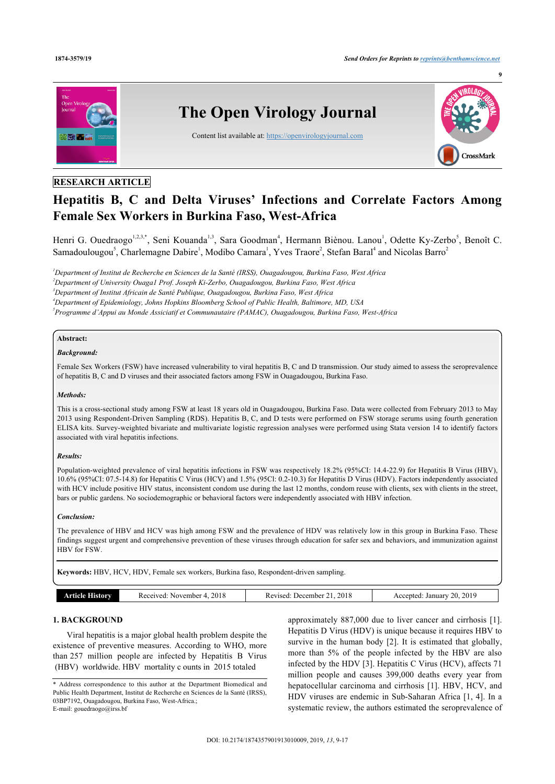

# **RESEARCH ARTICLE**

# **Hepatitis B, C and Delta Viruses' Infections and Correlate Factors Among Female Sex Workers in Burkina Faso, West-Africa**

Henri G. Ouedraogo<sup>[1](#page-0-0),[2](#page-0-1),[3,](#page-0-2)[\\*](#page-0-3)</sup>, Seni Kouanda<sup>1,[3](#page-0-2)</sup>, Sara Goodman<sup>[4](#page-0-4)</sup>, Hermann Biènou. Lanou<sup>1</sup>, Odette Ky-Zerbo<sup>[5](#page-0-5)</sup>, Benoît C. Samadoulougou<sup>[5](#page-0-5)</sup>, Charlemagne Dabire<sup>[1](#page-0-0)</sup>, Modibo Camara<sup>1</sup>, Yves Traore<sup>[2](#page-0-1)</sup>, Stefan Baral<sup>[4](#page-0-4)</sup> and Nicolas Barro<sup>2</sup>

<span id="page-0-2"></span><span id="page-0-1"></span><span id="page-0-0"></span>*Department of Institut de Recherche en Sciences de la Santé (IRSS), Ouagadougou, Burkina Faso, West Africa Department of University Ouaga1 Prof. Joseph Ki-Zerbo, Ouagadougou, Burkina Faso, West Africa Department of Institut Africain de Santé Publique, Ouagadougou, Burkina Faso, West Africa Department of Epidemiology, Johns Hopkins Bloomberg School of Public Health, Baltimore, MD, USA*

<span id="page-0-5"></span><span id="page-0-4"></span>*5 Programme d'Appui au Monde Assiciatif et Communautaire (PAMAC), Ouagadougou, Burkina Faso, West-Africa*

# **Abstract:**

# *Background:*

Female Sex Workers (FSW) have increased vulnerability to viral hepatitis B, C and D transmission. Our study aimed to assess the seroprevalence of hepatitis B, C and D viruses and their associated factors among FSW in Ouagadougou, Burkina Faso.

## *Methods:*

This is a cross-sectional study among FSW at least 18 years old in Ouagadougou, Burkina Faso. Data were collected from February 2013 to May 2013 using Respondent-Driven Sampling (RDS). Hepatitis B, C, and D tests were performed on FSW storage serums using fourth generation ELISA kits. Survey-weighted bivariate and multivariate logistic regression analyses were performed using Stata version 14 to identify factors associated with viral hepatitis infections.

### *Results:*

Population-weighted prevalence of viral hepatitis infections in FSW was respectively 18.2% (95%CI: 14.4-22.9) for Hepatitis B Virus (HBV), 10.6% (95%CI: 07.5-14.8) for Hepatitis C Virus (HCV) and 1.5% (95Cl: 0.2-10.3) for Hepatitis D Virus (HDV). Factors independently associated with HCV include positive HIV status, inconsistent condom use during the last 12 months, condom reuse with clients, sex with clients in the street, bars or public gardens. No sociodemographic or behavioral factors were independently associated with HBV infection.

#### *Conclusion:*

The prevalence of HBV and HCV was high among FSW and the prevalence of HDV was relatively low in this group in Burkina Faso. These findings suggest urgent and comprehensive prevention of these viruses through education for safer sex and behaviors, and immunization against HBV for FSW.

**Keywords:** HBV, HCV, HDV, Female sex workers, Burkina faso, Respondent-driven sampling.

| 2018<br>. November<br>Received:<br>History<br>рноід | 2018<br>Revised <sup>.</sup><br>December<br>. | 2019<br>ንሰ<br>January<br>Accepted<br>$\sim$<br>$-1$<br>__ |
|-----------------------------------------------------|-----------------------------------------------|-----------------------------------------------------------|
|-----------------------------------------------------|-----------------------------------------------|-----------------------------------------------------------|

# **1. BACKGROUND**

Viral hepatitis is a major global health problem despite the existence of preventive measures. According to WHO, more than 257 million people are infected by Hepatitis B Virus (HBV) worldwide. HBV mortality c ounts in 2015 totaled

approximately 887,000 due to liver cancer and cirrhosis [[1](#page-7-0)]. Hepatitis D Virus (HDV) is unique because it requires HBV to survive in the human body [[2\]](#page-7-1). It is estimated that globally, more than 5% of the people infected by the HBV are also infected by the HDV [\[3\]](#page-7-2). Hepatitis C Virus (HCV), affects 71 million people and causes 399,000 deaths every year from hepatocellular carcinoma and cirrhosis [[1](#page-7-0)]. HBV, HCV, and HDV viruses are endemic in Sub-Saharan Africa [\[1](#page-7-0), [4](#page-7-3)]. In a systematic review, the authors estimated the seroprevalence of

<span id="page-0-3"></span><sup>\*</sup> Address correspondence to this author at the Department Biomedical and Public Health Department, Institut de Recherche en Sciences de la Santé (IRSS), 03BP7192, Ouagadougou, Burkina Faso, West-Africa.; E-mail: [gouedraogo@irss.bf](mailto:gouedraogo@irss.bf)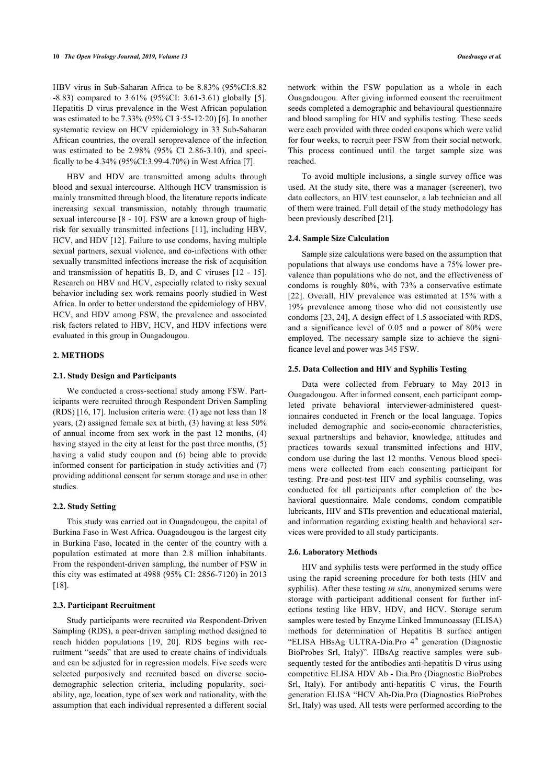HBV virus in Sub-Saharan Africa to be 8.83% (95%CI:8.82 -8.83) compared to 3.61% (95%CI: 3.61-3.61) globally [\[5\]](#page-7-4). Hepatitis D virus prevalence in the West African population was estimated to be 7.33% (95% CI 3·55-12·20) [\[6\]](#page-7-5). In another systematic review on HCV epidemiology in 33 Sub-Saharan African countries, the overall seroprevalence of the infection was estimated to be 2.98% (95% CI 2.86-3.10), and specifically to be 4.34% (95%CI:3.99-4.70%) in West Africa [[7](#page-7-6)].

HBV and HDV are transmitted among adults through blood and sexual intercourse. Although HCV transmission is mainly transmitted through blood, the literature reports indicate increasing sexual transmission, notably through traumatic sexual intercourse [\[8](#page-7-7) - [10\]](#page-7-8). FSW are a known group of highrisk for sexually transmitted infections [[11](#page-7-9)], including HBV, HCV, and HDV [\[12\]](#page-7-10). Failure to use condoms, having multiple sexual partners, sexual violence, and co-infections with other sexually transmitted infections increase the risk of acquisition and transmission of hepatitis B, D, and C viruses [[12](#page-7-10) - [15\]](#page-7-11). Research on HBV and HCV, especially related to risky sexual behavior including sex work remains poorly studied in West Africa. In order to better understand the epidemiology of HBV, HCV, and HDV among FSW, the prevalence and associated risk factors related to HBV, HCV, and HDV infections were evaluated in this group in Ouagadougou.

# **2. METHODS**

# **2.1. Study Design and Participants**

We conducted a cross-sectional study among FSW. Participants were recruited through Respondent Driven Sampling (RDS) [[16,](#page-8-0) [17](#page-8-1)]. Inclusion criteria were: (1) age not less than 18 years, (2) assigned female sex at birth, (3) having at less 50% of annual income from sex work in the past 12 months, (4) having stayed in the city at least for the past three months, (5) having a valid study coupon and (6) being able to provide informed consent for participation in study activities and (7) providing additional consent for serum storage and use in other studies.

## **2.2. Study Setting**

This study was carried out in Ouagadougou, the capital of Burkina Faso in West Africa. Ouagadougou is the largest city in Burkina Faso, located in the center of the country with a population estimated at more than 2.8 million inhabitants. From the respondent-driven sampling, the number of FSW in this city was estimated at 4988 (95% CI: 2856-7120) in 2013 [[18\]](#page-8-2).

#### **2.3. Participant Recruitment**

Study participants were recruited *via* Respondent-Driven Sampling (RDS), a peer-driven sampling method designed to reach hidden populations[[19](#page-8-3), [20](#page-8-4)]. RDS begins with recruitment "seeds" that are used to create chains of individuals and can be adjusted for in regression models. Five seeds were selected purposively and recruited based on diverse sociodemographic selection criteria, including popularity, sociability, age, location, type of sex work and nationality, with the assumption that each individual represented a different social network within the FSW population as a whole in each Ouagadougou. After giving informed consent the recruitment seeds completed a demographic and behavioural questionnaire and blood sampling for HIV and syphilis testing. These seeds were each provided with three coded coupons which were valid for four weeks, to recruit peer FSW from their social network. This process continued until the target sample size was reached.

To avoid multiple inclusions, a single survey office was used. At the study site, there was a manager (screener), two data collectors, an HIV test counselor, a lab technician and all of them were trained. Full detail of the study methodology has been previously described [\[21](#page-8-5)].

# **2.4. Sample Size Calculation**

Sample size calculations were based on the assumption that populations that always use condoms have a 75% lower prevalence than populations who do not, and the effectiveness of condoms is roughly 80%, with 73% a conservative estimate [[22](#page-8-6)]. Overall, HIV prevalence was estimated at 15% with a 19% prevalence among those who did not consistently use condoms [\[23](#page-8-7), [24](#page-8-8)], A design effect of 1.5 associated with RDS, and a significance level of 0.05 and a power of 80% were employed. The necessary sample size to achieve the significance level and power was 345 FSW.

## **2.5. Data Collection and HIV and Syphilis Testing**

Data were collected from February to May 2013 in Ouagadougou. After informed consent, each participant completed private behavioral interviewer-administered questionnaires conducted in French or the local language. Topics included demographic and socio-economic characteristics, sexual partnerships and behavior, knowledge, attitudes and practices towards sexual transmitted infections and HIV, condom use during the last 12 months. Venous blood specimens were collected from each consenting participant for testing. Pre-and post-test HIV and syphilis counseling, was conducted for all participants after completion of the behavioral questionnaire. Male condoms, condom compatible lubricants, HIV and STIs prevention and educational material, and information regarding existing health and behavioral services were provided to all study participants.

#### **2.6. Laboratory Methods**

HIV and syphilis tests were performed in the study office using the rapid screening procedure for both tests (HIV and syphilis). After these testing *in situ*, anonymized serums were storage with participant additional consent for further infections testing like HBV, HDV, and HCV. Storage serum samples were tested by Enzyme Linked Immunoassay (ELISA) methods for determination of Hepatitis B surface antigen "ELISA HBsAg ULTRA-Dia.Pro 4<sup>th</sup> generation (Diagnostic BioProbes Srl, Italy)". HBsAg reactive samples were subsequently tested for the antibodies anti-hepatitis D virus using competitive ELISA HDV Ab - Dia.Pro (Diagnostic BioProbes Srl, Italy). For antibody anti-hepatitis C virus, the Fourth generation ELISA "HCV Ab-Dia.Pro (Diagnostics BioProbes Srl, Italy) was used. All tests were performed according to the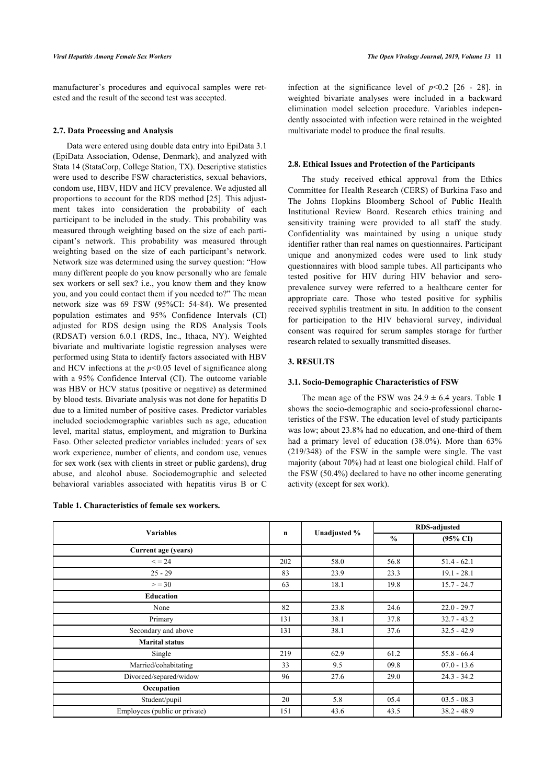manufacturer's procedures and equivocal samples were retested and the result of the second test was accepted.

## **2.7. Data Processing and Analysis**

Data were entered using double data entry into EpiData 3.1 (EpiData Association, Odense, Denmark), and analyzed with Stata 14 (StataCorp, College Station, TX). Descriptive statistics were used to describe FSW characteristics, sexual behaviors, condom use, HBV, HDV and HCV prevalence. We adjusted all proportions to account for the RDS method [[25\]](#page-8-9). This adjustment takes into consideration the probability of each participant to be included in the study. This probability was measured through weighting based on the size of each participant's network. This probability was measured through weighting based on the size of each participant's network. Network size was determined using the survey question: "How many different people do you know personally who are female sex workers or sell sex? i.e., you know them and they know you, and you could contact them if you needed to?" The mean network size was 69 FSW (95%CI: 54-84). We presented population estimates and 95% Confidence Intervals (CI) adjusted for RDS design using the RDS Analysis Tools (RDSAT) version 6.0.1 (RDS, Inc., Ithaca, NY). Weighted bivariate and multivariate logistic regression analyses were performed using Stata to identify factors associated with HBV and HCV infections at the  $p<0.05$  level of significance along with a 95% Confidence Interval (CI). The outcome variable was HBV or HCV status (positive or negative) as determined by blood tests. Bivariate analysis was not done for hepatitis D due to a limited number of positive cases. Predictor variables included sociodemographic variables such as age, education level, marital status, employment, and migration to Burkina Faso. Other selected predictor variables included: years of sex work experience, number of clients, and condom use, venues for sex work (sex with clients in street or public gardens), drug abuse, and alcohol abuse. Sociodemographic and selected behavioral variables associated with hepatitis virus B or C

<span id="page-2-0"></span>

| Table 1. Characteristics of female sex workers. |  |
|-------------------------------------------------|--|
|                                                 |  |

infectionat the significance level of  $p<0.2$  [[26](#page-8-10) - [28](#page-8-11)]. in weighted bivariate analyses were included in a backward elimination model selection procedure. Variables independently associated with infection were retained in the weighted multivariate model to produce the final results.

#### **2.8. Ethical Issues and Protection of the Participants**

The study received ethical approval from the Ethics Committee for Health Research (CERS) of Burkina Faso and The Johns Hopkins Bloomberg School of Public Health Institutional Review Board. Research ethics training and sensitivity training were provided to all staff the study. Confidentiality was maintained by using a unique study identifier rather than real names on questionnaires. Participant unique and anonymized codes were used to link study questionnaires with blood sample tubes. All participants who tested positive for HIV during HIV behavior and seroprevalence survey were referred to a healthcare center for appropriate care. Those who tested positive for syphilis received syphilis treatment in situ. In addition to the consent for participation to the HIV behavioral survey, individual consent was required for serum samples storage for further research related to sexually transmitted diseases.

# **3. RESULTS**

# **3.1. Socio-Demographic Characteristics of FSW**

The mean age of the FSW was  $24.9 \pm 6.4$  years. Table [1](#page-2-0) shows the socio-demographic and socio-professional characteristics of the FSW. The education level of study participants was low; about 23.8% had no education, and one-third of them had a primary level of education (38.0%). More than 63% (219/348) of the FSW in the sample were single. The vast majority (about 70%) had at least one biological child. Half of the FSW (50.4%) declared to have no other income generating activity (except for sex work).

|                               |             |              | <b>RDS-adjusted</b> |                     |  |  |  |
|-------------------------------|-------------|--------------|---------------------|---------------------|--|--|--|
| <b>Variables</b>              | $\mathbf n$ | Unadjusted % | $\frac{0}{0}$       | $(95\% \text{ CI})$ |  |  |  |
| Current age (years)           |             |              |                     |                     |  |  |  |
| $\leq$ = 24                   | 202         | 58.0         | 56.8                | $51.4 - 62.1$       |  |  |  |
| $25 - 29$                     | 83          | 23.9         | 23.3                | $19.1 - 28.1$       |  |  |  |
| > 30                          | 63          | 18.1         | 19.8                | $15.7 - 24.7$       |  |  |  |
| Education                     |             |              |                     |                     |  |  |  |
| None                          | 82          | 23.8         | 24.6                | $22.0 - 29.7$       |  |  |  |
| Primary                       | 131         | 38.1         | 37.8                | $32.7 - 43.2$       |  |  |  |
| Secondary and above           | 131         | 38.1         | 37.6                | $32.5 - 42.9$       |  |  |  |
| <b>Marital status</b>         |             |              |                     |                     |  |  |  |
| Single                        | 219         | 62.9         | 61.2                | $55.8 - 66.4$       |  |  |  |
| Married/cohabitating          | 33          | 9.5          | 09.8                | $07.0 - 13.6$       |  |  |  |
| Divorced/separed/widow        | 96          | 27.6         | 29.0                | $24.3 - 34.2$       |  |  |  |
| Occupation                    |             |              |                     |                     |  |  |  |
| Student/pupil                 | 20          | 5.8          | 05.4                | $03.5 - 08.3$       |  |  |  |
| Employees (public or private) | 151         | 43.6         | 43.5                | $38.2 - 48.9$       |  |  |  |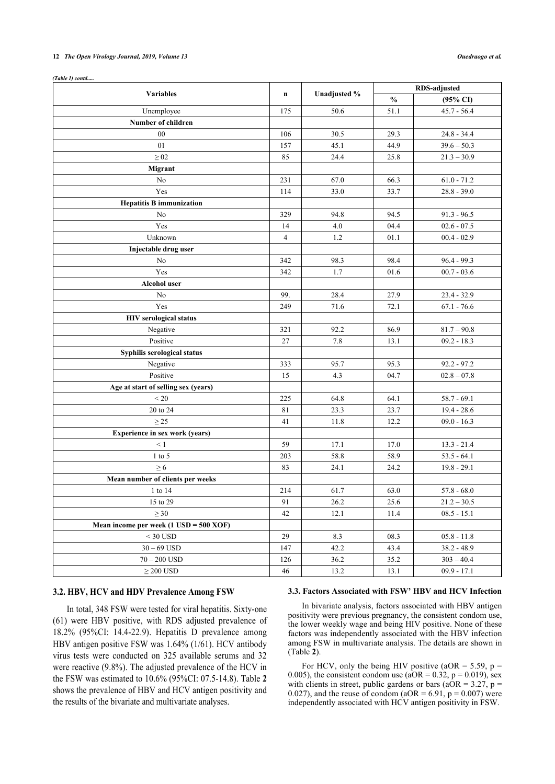#### **12** *The Open Virology Journal, 2019, Volume 13 Ouedraogo et al.*

*(Table 1) contd.....*

| <b>Variables</b>                                         |                |              | <b>RDS-adjusted</b> |                     |  |  |  |
|----------------------------------------------------------|----------------|--------------|---------------------|---------------------|--|--|--|
|                                                          | $\mathbf n$    | Unadjusted % | $\frac{0}{0}$       | $(95\% \text{ CI})$ |  |  |  |
| Unemployee                                               | 175            | 50.6         | 51.1                | $45.7 - 56.4$       |  |  |  |
| Number of children                                       |                |              |                     |                     |  |  |  |
| 00                                                       | 106            | 30.5         | 29.3                | $24.8 - 34.4$       |  |  |  |
| 01                                                       | 157            | 45.1         | 44.9                | $39.6 - 50.3$       |  |  |  |
| $\geq 02$                                                | 85             | 24.4         | 25.8                | $21.3 - 30.9$       |  |  |  |
| <b>Migrant</b>                                           |                |              |                     |                     |  |  |  |
| No                                                       | 231            | 67.0         | 66.3                | $61.0 - 71.2$       |  |  |  |
| Yes                                                      | 114            | 33.0         | 33.7                | $28.8 - 39.0$       |  |  |  |
| <b>Hepatitis B immunization</b>                          |                |              |                     |                     |  |  |  |
| No                                                       | 329            | 94.8         | 94.5                | $91.3 - 96.5$       |  |  |  |
| Yes                                                      | 14             | 4.0          | 04.4                | $02.6 - 07.5$       |  |  |  |
| Unknown                                                  | $\overline{4}$ | 1.2          | 01.1                | $00.4 - 02.9$       |  |  |  |
| Injectable drug user                                     |                |              |                     |                     |  |  |  |
| N <sub>o</sub>                                           | 342            | 98.3         | 98.4                | $96.4 - 99.3$       |  |  |  |
| Yes                                                      | 342            | 1.7          | 01.6                | $00.7 - 03.6$       |  |  |  |
| <b>Alcohol user</b>                                      |                |              |                     |                     |  |  |  |
| No                                                       | 99.            | 28.4         | 27.9                | $23.4 - 32.9$       |  |  |  |
| Yes                                                      | 249            | 71.6         | 72.1                | $67.1 - 76.6$       |  |  |  |
| <b>HIV</b> serological status                            |                |              |                     |                     |  |  |  |
| Negative                                                 | 321            | 92.2         | 86.9                | $81.7 - 90.8$       |  |  |  |
| Positive                                                 | 27             | 7.8          | 13.1                | $09.2 - 18.3$       |  |  |  |
| Syphilis serological status                              |                |              |                     |                     |  |  |  |
| Negative                                                 | 333            | 95.7         | 95.3                | $92.2 - 97.2$       |  |  |  |
| Positive                                                 | 15             | 4.3          | 04.7                | $02.8 - 07.8$       |  |  |  |
| Age at start of selling sex (years)                      |                |              |                     |                     |  |  |  |
| $\leq 20$                                                | 225            | 64.8         | 64.1                | $58.7 - 69.1$       |  |  |  |
| 20 to 24                                                 | 81             | 23.3         | 23.7                | $19.4 - 28.6$       |  |  |  |
| $\geq$ 25                                                | 41             | 11.8         | 12.2                | $09.0 - 16.3$       |  |  |  |
| Experience in sex work (years)                           |                |              |                     |                     |  |  |  |
| $\leq 1$                                                 | 59             | 17.1         | 17.0                | $13.3 - 21.4$       |  |  |  |
| $1$ to $5$                                               | 203            | 58.8         | 58.9                | $53.5 - 64.1$       |  |  |  |
| $\geq 6$                                                 | 83             | 24.1         | 24.2                | $19.8 - 29.1$       |  |  |  |
| Mean number of clients per weeks                         |                |              |                     |                     |  |  |  |
| 1 to 14                                                  | 214            | 61.7         | 63.0                | $57.8 - 68.0$       |  |  |  |
| 15 to 29                                                 | 91             | 26.2         | 25.6                | $21.2 - 30.5$       |  |  |  |
| $\geq 30$                                                | 42             | 12.1         | 11.4                | $08.5 - 15.1$       |  |  |  |
| Mean income per week $(1 \text{ USD} = 500 \text{ XOR})$ |                |              |                     |                     |  |  |  |
| $< 30$ USD                                               | 29             | 8.3          | 08.3                | $05.8 - 11.8$       |  |  |  |
| $30 - 69$ USD                                            | 147            | 42.2         | 43.4                | $38.2 - 48.9$       |  |  |  |
| $70 - 200$ USD                                           | 126            | 36.2         | 35.2                | $303 - 40.4$        |  |  |  |
| $\geq 200$ USD                                           | 46             | 13.2         | 13.1                | $09.9 - 17.1$       |  |  |  |

# **3.2. HBV, HCV and HDV Prevalence Among FSW**

In total, 348 FSW were tested for viral hepatitis. Sixty-one (61) were HBV positive, with RDS adjusted prevalence of 18.2% (95%CI: 14.4-22.9). Hepatitis D prevalence among HBV antigen positive FSW was 1.64% (1/61). HCV antibody virus tests were conducted on 325 available serums and 32 were reactive (9.8%). The adjusted prevalence of the HCV in the FSW was estimated to 10.6% (95%CI: 07.5-14.8). Table **[2](#page-4-0)** shows the prevalence of HBV and HCV antigen positivity and the results of the bivariate and multivariate analyses.

### **3.3. Factors Associated with FSW' HBV and HCV Infection**

In bivariate analysis, factors associated with HBV antigen positivity were previous pregnancy, the consistent condom use, the lower weekly wage and being HIV positive. None of these factors was independently associated with the HBV infection among FSW in multivariate analysis. The details are shown in (Table **[2](#page-4-0)**).

For HCV, only the being HIV positive (aOR =  $5.59$ , p = 0.005), the consistent condom use  $(aOR = 0.32, p = 0.019)$ , sex with clients in street, public gardens or bars ( $a\overline{OR} = 3.27$ ,  $p =$ 0.027), and the reuse of condom ( $aOR = 6.91$ ,  $p = 0.007$ ) were independently associated with HCV antigen positivity in FSW.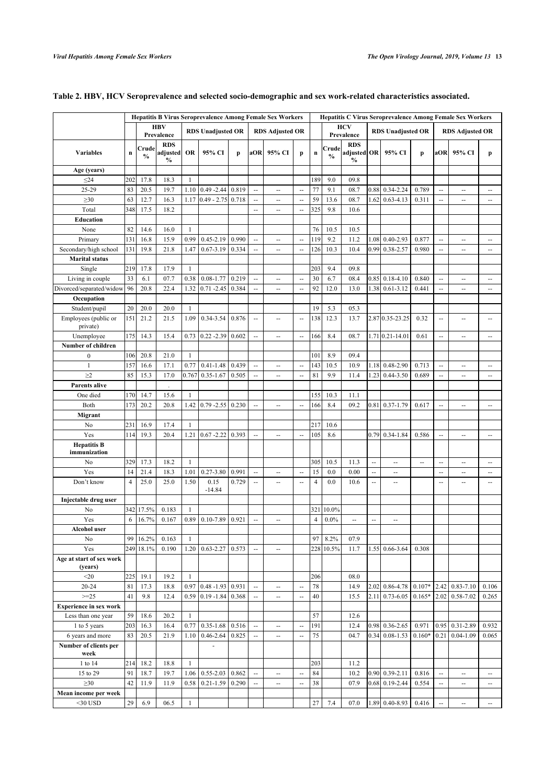|                                     |                | <b>Hepatitis B Virus Seroprevalence Among Female Sex Workers</b> |                                         |              |                        |       |                          |                          | <b>Hepatitis C Virus Seroprevalence Among Female Sex Workers</b> |                |                        |                                            |                |                          |                        |                          |                          |                          |
|-------------------------------------|----------------|------------------------------------------------------------------|-----------------------------------------|--------------|------------------------|-------|--------------------------|--------------------------|------------------------------------------------------------------|----------------|------------------------|--------------------------------------------|----------------|--------------------------|------------------------|--------------------------|--------------------------|--------------------------|
|                                     |                | <b>HBV</b><br><b>RDS Unadjusted OR</b><br>Prevalence             |                                         |              | <b>RDS Adjusted OR</b> |       |                          |                          | <b>HCV</b><br>Prevalence                                         |                |                        | <b>RDS Unadjusted OR</b>                   |                |                          | <b>RDS Adjusted OR</b> |                          |                          |                          |
| <b>Variables</b>                    | $\mathbf n$    | Crude<br>%                                                       | <b>RDS</b><br>adjusted<br>$\frac{0}{0}$ | <b>OR</b>    | 95% CI                 | p     | aOR                      | 95% CI                   | p                                                                | $\mathbf n$    | Crude<br>$\frac{0}{0}$ | <b>RDS</b><br>adjusted OR<br>$\frac{0}{0}$ |                | 95% CI                   | p                      | aOR                      | 95% CI                   | p                        |
| Age (years)                         |                |                                                                  |                                         |              |                        |       |                          |                          |                                                                  |                |                        |                                            |                |                          |                        |                          |                          |                          |
| $\leq$ 24                           | 202            | 17.8                                                             | 18.3                                    | $\mathbf{1}$ |                        |       |                          |                          |                                                                  | 189            | 9.0                    | 09.8                                       |                |                          |                        |                          |                          |                          |
| 25-29                               | 83             | 20.5                                                             | 19.7                                    | 1.10         | $0.49 - 2.44$          | 0.819 | $\overline{a}$           |                          | $\ddotsc$                                                        | 77             | 9.1                    | 08.7                                       | 0.88           | 0.34-2.24                | 0.789                  | $\mathbb{Z}^2$           | --                       | ٠.                       |
| $\geq 30$                           | 63             | 12.7                                                             | 16.3                                    | 1.17         | $0.49 - 2.75$          | 0.718 | ă.                       | ÷.                       | ÷.                                                               | 59             | 13.6                   | 08.7                                       | 1.62           | $0.63 - 4.13$            | 0.311                  | $\mathbb{R}^2$           | Ш,                       | $\sim$                   |
| Total                               | 348            | 17.5                                                             | 18.2                                    |              |                        |       | ă.                       | ÷-                       | Ξ.                                                               | 325            | 9.8                    | 10.6                                       |                |                          |                        |                          |                          |                          |
| Education                           |                |                                                                  |                                         |              |                        |       |                          |                          |                                                                  |                |                        |                                            |                |                          |                        |                          |                          |                          |
| None                                | 82             | 14.6                                                             | 16.0                                    | 1            |                        |       |                          |                          |                                                                  | 76             | 10.5                   | 10.5                                       |                |                          |                        |                          |                          |                          |
| Primary                             | 131            | 16.8                                                             | 15.9                                    | 0.99         | $0.45 - 2.19$          | 0.990 | $\ddotsc$                | Ξ.                       | $\ddotsc$                                                        | 119            | 9.2                    | 11.2                                       | 1.08           | $0.40 - 2.93$            | 0.877                  | $\mathbb{R}^2$           | Ξ.                       | Ξ.                       |
| Secondary/high school               | 131            | 19.8                                                             | 21.8                                    | 1.47         | $0.67 - 3.19$          | 0.334 | $\overline{a}$           | $\overline{\phantom{a}}$ | $\mathbb{Z}^2$                                                   | 126            | 10.3                   | 10.4                                       | 0.99           | 0.38-2.57                | 0.980                  | $\overline{\phantom{a}}$ | $\overline{\phantom{a}}$ | $\sim$                   |
| <b>Marital</b> status               |                |                                                                  |                                         |              |                        |       |                          |                          |                                                                  |                |                        |                                            |                |                          |                        |                          |                          |                          |
| Single                              | 219            | 17.8                                                             | 17.9                                    | -1           |                        |       |                          |                          |                                                                  | 203            | 9.4                    | 09.8                                       |                |                          |                        |                          |                          |                          |
| Living in couple                    | 33             | 6.1                                                              | 07.7                                    | 0.38         | $0.08 - 1.77$          | 0.219 | $\sim$                   |                          | $\overline{a}$                                                   | 30             | 6.7                    | 08.4                                       | 0.85           | $0.18 - 4.10$            | 0.840                  | $\overline{\phantom{a}}$ | --                       |                          |
| Divorced/separated/widow            | 96             | 20.8                                                             | 22.4                                    | 1.32         | $0.71 - 2.45$          | 0.384 | $\ddot{\phantom{a}}$     | --                       | $\sim$                                                           | 92             | 12.0                   | 13.0                                       | 1.38           | $0.61 - 3.12$            | 0.441                  | ÷.                       | --                       | --                       |
| Occupation                          |                |                                                                  |                                         |              |                        |       |                          |                          |                                                                  |                |                        |                                            |                |                          |                        |                          |                          |                          |
| Student/pupil                       | 20             | 20.0                                                             | 20.0                                    | -1           |                        |       |                          |                          |                                                                  | 19             | 5.3                    | 05.3                                       |                |                          |                        |                          |                          |                          |
| Employees (public or<br>private)    | 151            | 21.2                                                             | 21.5                                    | 1.09         | 0.34-3.54              | 0.876 | Ξ.                       |                          | $\overline{a}$                                                   | 138            | 12.3                   | 13.7                                       |                | 2.87 0.35-23.25          | 0.32                   | $\sim$                   | Ξ.                       |                          |
| Unemployee                          | 175            | 14.3                                                             | 15.4                                    | 0.73         | $0.22 - 2.39$          | 0.602 | Ξ.                       | $\overline{a}$           | $\sim$                                                           | 166            | 8.4                    | 08.7                                       |                | 1.71 0.21 - 14.01        | 0.61                   | $\mathbb{Z}^2$           | $\overline{a}$           | $\sim$                   |
| Number of children                  |                |                                                                  |                                         |              |                        |       |                          |                          |                                                                  |                |                        |                                            |                |                          |                        |                          |                          |                          |
| $\boldsymbol{0}$                    | 106            | 20.8                                                             | 21.0                                    | $\mathbf{1}$ |                        |       |                          |                          |                                                                  | 101            | 8.9                    | 09.4                                       |                |                          |                        |                          |                          |                          |
| $\mathbf{1}$                        | 157            | 16.6                                                             | 17.1                                    | 0.77         | $0.41 - 1.48$          | 0.439 | $\overline{\phantom{a}}$ | --                       | $\overline{a}$                                                   | 143            | 10.5                   | 10.9                                       | 1.18           | $0.48 - 2.90$            | 0.713                  | $\overline{\phantom{a}}$ | $\overline{\phantom{a}}$ | ٠.                       |
| $\geq$ 2                            | 85             | 15.3                                                             | 17.0                                    | 0.767        | $0.35 - 1.67$          | 0.505 | ă.                       | $\sim$                   | $\overline{a}$                                                   | 81             | 9.9                    | 11.4                                       | 1.23           | $0.44 - 3.50$            | 0.689                  | $\overline{\phantom{a}}$ | Ξ.                       | $\overline{a}$           |
| <b>Parents alive</b>                |                |                                                                  |                                         |              |                        |       |                          |                          |                                                                  |                |                        |                                            |                |                          |                        |                          |                          |                          |
| One died                            | 170            | 14.7                                                             | 15.6                                    | $\mathbf{1}$ |                        |       |                          |                          |                                                                  | 155            | 10.3                   | 11.1                                       |                |                          |                        |                          |                          |                          |
| Both                                | 173            | 20.2                                                             | 20.8                                    | 1.42         | $0.79 - 2.55$          | 0.230 | $\overline{a}$           | $\overline{\phantom{a}}$ | $\overline{a}$                                                   | 166            | 8.4                    | 09.2                                       | 0.81           | $0.37 - 1.79$            | 0.617                  | $\overline{\phantom{a}}$ | $\overline{\phantom{a}}$ | $\overline{\phantom{a}}$ |
| Migrant                             |                |                                                                  |                                         |              |                        |       |                          |                          |                                                                  |                |                        |                                            |                |                          |                        |                          |                          |                          |
| No                                  | 231            | 16.9                                                             | 17.4                                    | $\mathbf{1}$ |                        |       |                          |                          |                                                                  | 217            | 10.6                   |                                            |                |                          |                        |                          |                          |                          |
| Yes                                 | 114            | 19.3                                                             | 20.4                                    | 1.21         | $0.67 - 2.22$          | 0.393 |                          | --                       | $\ddotsc$                                                        | 105            | 8.6                    |                                            | 0.79           | $0.34 - 1.84$            | 0.586                  | $\mathbb{Z}^2$           | Ξ.                       | $\overline{\phantom{a}}$ |
| <b>Hepatitis B</b><br>immunization  |                |                                                                  |                                         |              |                        |       |                          |                          |                                                                  |                |                        |                                            |                |                          |                        |                          |                          |                          |
| No                                  | 329            | 17.3                                                             | 18.2                                    | $\mathbf{1}$ |                        |       |                          |                          |                                                                  | 305            | 10.5                   | 11.3                                       | $\overline{a}$ | цú.                      | u.                     | $\mathbf{L}$             | ÷.                       | $\overline{\phantom{a}}$ |
| Yes                                 | 14             | 21.4                                                             | 18.3                                    | 1.01         | $0.27 - 3.80$          | 0.991 | Ξ.                       | $\overline{\phantom{a}}$ | $\sim$                                                           | 15             | 0.0                    | 0.00                                       | --             | $\overline{\phantom{a}}$ |                        | Ξ.                       | $\overline{\phantom{a}}$ | $\overline{\phantom{a}}$ |
| Don't know                          | $\overline{4}$ | 25.0                                                             | 25.0                                    | 1.50         | 0.15                   | 0.729 | Ξ.                       | $\sim$                   | ÷.                                                               | $\overline{4}$ | 0.0                    | 10.6                                       | Ш,             | $\overline{a}$           |                        | $\sim$                   | $\overline{a}$           | Ξ.                       |
|                                     |                |                                                                  |                                         |              | $-14.84$               |       |                          |                          |                                                                  |                |                        |                                            |                |                          |                        |                          |                          |                          |
| Injectable drug user                |                |                                                                  |                                         |              |                        |       |                          |                          |                                                                  |                |                        |                                            |                |                          |                        |                          |                          |                          |
| No                                  |                | 342 17.5%                                                        | 0.183                                   | $\mathbf{1}$ |                        |       |                          |                          |                                                                  | 321            | 10.0%                  |                                            |                |                          |                        |                          |                          |                          |
| Yes                                 | 6              | 16.7%                                                            | 0.167                                   | 0.89         | 0.10-7.89              | 0.921 | $\overline{a}$           | $\overline{a}$           |                                                                  | $\overline{4}$ | 0.0%                   | Ξ.                                         | --             | --                       |                        |                          |                          |                          |
| Alcohol user                        |                |                                                                  |                                         |              |                        |       |                          |                          |                                                                  |                |                        |                                            |                |                          |                        |                          |                          |                          |
| No                                  |                | 99 16.2%                                                         | 0.163                                   | 1            |                        |       |                          |                          |                                                                  | 97             | 8.2%                   | 07.9                                       |                |                          |                        |                          |                          |                          |
| Yes                                 |                | 249 18.1%                                                        | 0.190                                   | 1.20         | $0.63 - 2.27$          | 0.573 | $\overline{\phantom{a}}$ | ÷.                       |                                                                  |                | 228 10.5%              | 11.7                                       | 1.55           | 0.66-3.64                | 0.308                  |                          |                          |                          |
| Age at start of sex work<br>(years) |                |                                                                  |                                         |              |                        |       |                          |                          |                                                                  |                |                        |                                            |                |                          |                        |                          |                          |                          |
| $20$                                | 225            | 19.1                                                             | 19.2                                    | $\mathbf{1}$ |                        |       |                          |                          |                                                                  | 206            |                        | 08.0                                       |                |                          |                        |                          |                          |                          |
| $20 - 24$                           | 81             | 17.3                                                             | 18.8                                    | 0.97         | $0.48 - 1.93$ 0.931    |       | Ξ.                       |                          | $\overline{a}$                                                   | 78             |                        | 14.9                                       | 2.02           | 0.86-4.78                | $0.107*$               |                          | $2.42 \mid 0.83 - 7.10$  | 0.106                    |
| $>=25$                              | 41             | 9.8                                                              | 12.4                                    | 0.59         | $0.19 - 1.84$          | 0.368 | $\overline{\phantom{a}}$ | ÷.                       | $\sim$                                                           | 40             |                        | 15.5                                       | 2.11           | $0.73 - 6.05$            | $0.165*$               |                          | 2.02 0.58-7.02           | 0.265                    |
| <b>Experience in sex work</b>       |                |                                                                  |                                         |              |                        |       |                          |                          |                                                                  |                |                        |                                            |                |                          |                        |                          |                          |                          |
| Less than one year                  | 59             | 18.6                                                             | 20.2                                    | -1           |                        |       |                          |                          |                                                                  | 57             |                        | 12.6                                       |                |                          |                        |                          |                          |                          |
| 1 to 5 years                        | 203            | 16.3                                                             | 16.4                                    | 0.77         | $0.35 - 1.68$          | 0.516 |                          | --                       | $\overline{a}$                                                   | 191            |                        | 12.4                                       | 0.98           | 0.36-2.65                | 0.971                  | 0.95                     | 0.31-2.89                | 0.932                    |
| 6 years and more                    | 83             | 20.5                                                             | 21.9                                    | 1.10         | $0.46 - 2.64$          | 0.825 | $\overline{\phantom{a}}$ | $\overline{a}$           | $\ddotsc$                                                        | 75             |                        | 04.7                                       | 0.34           | $0.08 - 1.53$            | $0.160*$               | 0.21                     | $0.04 - 1.09$            | 0.065                    |
| Number of clients per<br>week       |                |                                                                  |                                         |              | ä,                     |       |                          |                          |                                                                  |                |                        |                                            |                |                          |                        |                          |                          |                          |
| 1 to 14                             | 214            | 18.2                                                             | 18.8                                    | $\mathbf{1}$ |                        |       |                          |                          |                                                                  | 203            |                        | 11.2                                       |                |                          |                        |                          |                          |                          |
| 15 to 29                            | 91             | 18.7                                                             | 19.7                                    | 1.06         | $0.55 - 2.03$          | 0.862 | $\overline{\phantom{a}}$ | --                       | $\sim$                                                           | 84             |                        | 10.2                                       |                | $0.90$ 0.39-2.11         | 0.816                  | $\overline{\phantom{a}}$ | $\overline{\phantom{a}}$ | $\overline{\phantom{a}}$ |
| $\geq 30$                           | 42             | 11.9                                                             | 11.9                                    | 0.58         | $0.21 - 1.59$          | 0.290 |                          | Ξ.                       | ă.                                                               | 38             |                        | 07.9                                       | 0.68           | $0.19 - 2.44$            | 0.554                  | $\overline{\phantom{a}}$ | --                       | $\overline{\phantom{a}}$ |
| Mean income per week                |                |                                                                  |                                         |              |                        |       |                          |                          |                                                                  |                |                        |                                            |                |                          |                        |                          |                          |                          |
| $<$ 30 USD                          | 29             | 6.9                                                              | 06.5                                    | $\mathbf{1}$ |                        |       |                          |                          |                                                                  | 27             | 7.4                    | 07.0                                       | 1.89           | 0.40-8.93                | 0.416                  | $\bar{\phantom{a}}$      | u.                       | Ξ.                       |
|                                     |                |                                                                  |                                         |              |                        |       |                          |                          |                                                                  |                |                        |                                            |                |                          |                        |                          |                          |                          |

# <span id="page-4-0"></span>**Table 2. HBV, HCV Seroprevalence and selected socio-demographic and sex work-related characteristics associated.**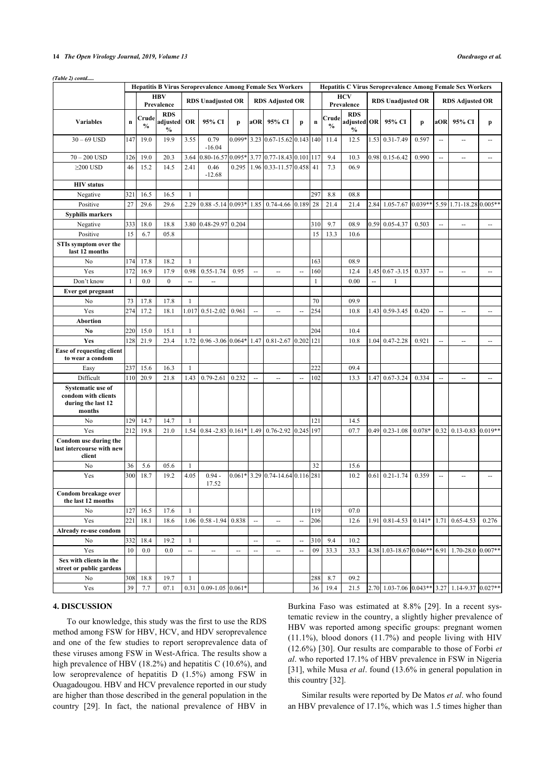## **14** *The Open Virology Journal, 2019, Volume 13 Ouedraogo et al.*

| (Table 2) contd |
|-----------------|
|                 |

|                                                                          | <b>Hepatitis B Virus Seroprevalence Among Female Sex Workers</b> |                        |                           |              |                          |                |                          | <b>Hepatitis C Virus Seroprevalence Among Female Sex Workers</b> |                          |             |                        |                              |                          |                         |          |                          |                          |                          |
|--------------------------------------------------------------------------|------------------------------------------------------------------|------------------------|---------------------------|--------------|--------------------------|----------------|--------------------------|------------------------------------------------------------------|--------------------------|-------------|------------------------|------------------------------|--------------------------|-------------------------|----------|--------------------------|--------------------------|--------------------------|
|                                                                          |                                                                  |                        | <b>HBV</b>                |              |                          |                |                          |                                                                  |                          | <b>HCV</b>  |                        |                              |                          |                         |          |                          |                          |                          |
|                                                                          |                                                                  |                        | Prevalence                |              | <b>RDS Unadjusted OR</b> |                |                          | <b>RDS Adjusted OR</b>                                           |                          |             |                        | Prevalence                   | <b>RDS Unadjusted OR</b> |                         |          | <b>RDS Adjusted OR</b>   |                          |                          |
|                                                                          |                                                                  |                        | <b>RDS</b>                |              |                          |                |                          |                                                                  |                          |             |                        | <b>RDS</b>                   |                          |                         |          |                          |                          |                          |
| <b>Variables</b>                                                         | $\bf n$                                                          | Crude<br>$\frac{0}{0}$ | adjusted<br>$\frac{0}{0}$ | OR           | 95% CI                   | p              | aOR                      | 95% CI                                                           | p                        | $\mathbf n$ | Crude<br>$\frac{0}{0}$ | adjusted OR<br>$\frac{0}{0}$ |                          | 95% CI                  | p        | aOR                      | 95% CI                   | p                        |
| $30 - 69$ USD                                                            | 147                                                              | 19.0                   | 19.9                      | 3.55         | 0.79<br>$-16.04$         | $0.099*$       |                          | 3.23 0.67-15.62 0.143 140                                        |                          |             | 11.4                   | 12.5                         |                          | 1.53 0.31-7.49          | 0.597    | ÷.                       | Ш,                       |                          |
| $70 - 200$ USD                                                           | 126                                                              | 19.0                   | 20.3                      | 3.64         | 0.80-16.57               | 0.095*         |                          | 3.77 0.77-18.43 0.101 117                                        |                          |             | 9.4                    | 10.3                         | 0.98                     | $0.15 - 6.42$           | 0.990    | $\sim$                   | $\overline{\phantom{a}}$ | $\sim$                   |
| $\geq$ 200 USD                                                           | 46                                                               | 15.2                   | 14.5                      | 2.41         | 0.46<br>$-12.68$         | 0.295          |                          | 1.96 0.33-11.57 0.458 41                                         |                          |             | 7.3                    | 06.9                         |                          |                         |          |                          |                          |                          |
| <b>HIV</b> status                                                        |                                                                  |                        |                           |              |                          |                |                          |                                                                  |                          |             |                        |                              |                          |                         |          |                          |                          |                          |
| Negative                                                                 | 321                                                              | 16.5                   | 16.5                      | $\mathbf{1}$ |                          |                |                          |                                                                  |                          | 297         | 8.8                    | 08.8                         |                          |                         |          |                          |                          |                          |
| Positive                                                                 | 27                                                               | 29.6                   | 29.6                      | 2.29         | $0.88 - 5.14$ 0.093*     |                | 1.85                     | $0.74 - 4.66$ 0.189                                              |                          | 28          | 21.4                   | 21.4                         | 2.84                     | $1.05 - 7.67$ 0.039**   |          |                          | 5.59 1.71-18.28 0.005**  |                          |
| <b>Syphilis markers</b>                                                  |                                                                  |                        |                           |              |                          |                |                          |                                                                  |                          |             |                        |                              |                          |                         |          |                          |                          |                          |
| Negative                                                                 | 333                                                              | 18.0                   | 18.8                      | 3.80         | 0.48-29.97               | 0.204          |                          |                                                                  |                          | 310         | 9.7                    | 08.9                         | 0.59                     | $0.05 - 4.37$           | 0.503    | $\sim$                   | Ш,                       | $\overline{\phantom{a}}$ |
| Positive                                                                 | 15                                                               | 6.7                    | 05.8                      |              |                          |                |                          |                                                                  |                          | 15          | 13.3                   | 10.6                         |                          |                         |          |                          |                          |                          |
| STIs symptom over the<br>last 12 months                                  |                                                                  |                        |                           |              |                          |                |                          |                                                                  |                          |             |                        |                              |                          |                         |          |                          |                          |                          |
| No                                                                       | 174                                                              | 17.8                   | 18.2                      | $\mathbf{1}$ |                          |                |                          |                                                                  |                          | 163         |                        | 08.9                         |                          |                         |          |                          |                          |                          |
| Yes                                                                      | 172                                                              | 16.9                   | 17.9                      | 0.98         | $0.55 - 1.74$            | 0.95           | $\overline{\phantom{a}}$ | $\overline{\phantom{a}}$                                         | $\overline{\phantom{a}}$ | 160         |                        | 12.4                         | 1.45                     | $0.67 - 3.15$           | 0.337    | $\sim$                   | --                       | $\overline{\phantom{a}}$ |
| Don't know                                                               | 1                                                                | 0.0                    | $\mathbf{0}$              | Ξ.           | $\overline{\phantom{a}}$ |                |                          |                                                                  |                          | 1           |                        | 0.00                         | Ξ.                       | 1                       |          |                          |                          |                          |
| Ever got pregnant                                                        |                                                                  |                        |                           |              |                          |                |                          |                                                                  |                          |             |                        |                              |                          |                         |          |                          |                          |                          |
| No                                                                       | 73                                                               | 17.8                   | 17.8                      | 1            |                          |                |                          |                                                                  |                          | 70          |                        | 09.9                         |                          |                         |          |                          |                          |                          |
| Yes                                                                      | 274                                                              | 17.2                   | 18.1                      | 1.017        | $0.51 - 2.02$            | 0.961          | $\ddotsc$                | $\overline{\phantom{a}}$                                         | $\overline{a}$           | 254         |                        | 10.8                         | 1.43                     | 0.59-3.45               | 0.420    | Ξ.                       | $\overline{\phantom{a}}$ | $\overline{\phantom{a}}$ |
| Abortion                                                                 |                                                                  |                        |                           |              |                          |                |                          |                                                                  |                          |             |                        |                              |                          |                         |          |                          |                          |                          |
| No                                                                       | 220                                                              | 15.0                   | 15.1                      | $\mathbf{1}$ |                          |                |                          |                                                                  |                          | 204         |                        | 10.4                         |                          |                         |          |                          |                          |                          |
| Yes                                                                      | 128                                                              | 21.9                   | 23.4                      | 1.72         | $0.96 - 3.06$ 0.064*     |                | 1.47                     | $0.81 - 2.67$                                                    | $0.202$  121             |             |                        | 10.8                         | 1.04                     | $0.47 - 2.28$           | 0.921    | $\mathbb{Z}^2$           | Ξ.                       | $\sim$                   |
| Ease of requesting client                                                |                                                                  |                        |                           |              |                          |                |                          |                                                                  |                          |             |                        |                              |                          |                         |          |                          |                          |                          |
| to wear a condom                                                         |                                                                  |                        |                           |              |                          |                |                          |                                                                  |                          |             |                        |                              |                          |                         |          |                          |                          |                          |
| Easy                                                                     | 237                                                              | 15.6                   | 16.3                      | $\mathbf{1}$ |                          |                |                          |                                                                  |                          | 222         |                        | 09.4                         |                          |                         |          |                          |                          |                          |
| Difficult                                                                | 110                                                              | 20.9                   | 21.8                      | 1.43         | $0.79 - 2.61$            | 0.232          | ă.                       | $\overline{\phantom{a}}$                                         | $\sim$                   | 102         |                        | 13.3                         | 1.47                     | $0.67 - 3.24$           | 0.334    | $\overline{\phantom{a}}$ | Ξ.                       | $\overline{\phantom{a}}$ |
| Systematic use of<br>condom with clients<br>during the last 12<br>months |                                                                  |                        |                           |              |                          |                |                          |                                                                  |                          |             |                        |                              |                          |                         |          |                          |                          |                          |
| No                                                                       | 129                                                              | 14.7                   | 14.7                      | $\mathbf{1}$ |                          |                |                          |                                                                  |                          | 121         |                        | 14.5                         |                          |                         |          |                          |                          |                          |
| Yes                                                                      | 212                                                              | 19.8                   | 21.0                      | 1.54         | $0.84 - 2.83$ 0.161*     |                | 1.49                     | $0.76 - 2.92$                                                    | 0.245 197                |             |                        | 07.7                         | 0.49                     | $0.23 - 1.08$           | $0.078*$ |                          | $0.32$ 0.13-0.83 0.019** |                          |
| Condom use during the<br>last intercourse with new<br>client             |                                                                  |                        |                           |              |                          |                |                          |                                                                  |                          |             |                        |                              |                          |                         |          |                          |                          |                          |
| No                                                                       | 36                                                               | 5.6                    | 05.6                      | 1            |                          |                |                          |                                                                  |                          | 32          |                        | 15.6                         |                          |                         |          |                          |                          |                          |
| Yes                                                                      | 300                                                              | 18.7                   | 19.2                      | 4.05         | $0.94 -$<br>17.52        |                |                          | $0.061*$ 3.29 0.74-14.64 0.116 281                               |                          |             |                        | 10.2                         | 0.61                     | $0.21 - 1.74$           | 0.359    | $\sim$                   | $\sim$                   |                          |
| Condom breakage over<br>the last 12 months                               |                                                                  |                        |                           |              |                          |                |                          |                                                                  |                          |             |                        |                              |                          |                         |          |                          |                          |                          |
| No                                                                       | 127                                                              | 16.5                   | 17.6                      | $\mathbf{1}$ |                          |                |                          |                                                                  |                          | 119         |                        | 07.0                         |                          |                         |          |                          |                          |                          |
| Yes                                                                      | 221                                                              | 18.1                   | 18.6                      |              | $1.06$ 0.58 -1.94        | 0.838          | $\overline{\phantom{a}}$ | $\mathbf{u}$                                                     | $\sim$                   | 206         |                        | 12.6                         | 1.91                     | $0.81 - 4.53$           | $0.141*$ | 1.71                     | $0.65 - 4.53$            | 0.276                    |
| Already re-use condom                                                    |                                                                  |                        |                           |              |                          |                |                          |                                                                  |                          |             |                        |                              |                          |                         |          |                          |                          |                          |
| No                                                                       | 332                                                              | 18.4                   | 19.2                      | $\mathbf{1}$ |                          |                | $\overline{\phantom{a}}$ | $\overline{\phantom{a}}$                                         | Ξ.                       | 310         | 9.4                    | 10.2                         |                          |                         |          |                          |                          |                          |
| Yes                                                                      | 10                                                               | 0.0                    | 0.0                       | Ξ.           | $\overline{\phantom{a}}$ | $\overline{a}$ | $\overline{\phantom{a}}$ | $\overline{\phantom{a}}$                                         | $\sim$                   | 09          | 33.3                   | 33.3                         |                          | 4.38 1.03-18.67 0.046** |          |                          | 6.91 1.70-28.0           | $0.007**$                |
| Sex with clients in the<br>street or public gardens                      |                                                                  |                        |                           |              |                          |                |                          |                                                                  |                          |             |                        |                              |                          |                         |          |                          |                          |                          |
| No                                                                       | 308                                                              | 18.8                   | 19.7                      | $\mathbf{1}$ |                          |                |                          |                                                                  |                          | 288         | 8.7                    | 09.2                         |                          |                         |          |                          |                          |                          |
| Yes                                                                      | 39                                                               | 7.7                    | 07.1                      | 0.31         | $0.09 - 1.05$ 0.061*     |                |                          |                                                                  |                          | 36          | 19.4                   | 21.5                         |                          | 2.70 1.03-7.06 0.043**  |          |                          | 3.27 1.14-9.37 0.027**   |                          |

# **4. DISCUSSION**

To our knowledge, this study was the first to use the RDS method among FSW for HBV, HCV, and HDV seroprevalence and one of the few studies to report seroprevalence data of these viruses among FSW in West-Africa. The results show a high prevalence of HBV (18.2%) and hepatitis C (10.6%), and low seroprevalence of hepatitis D (1.5%) among FSW in Ouagadougou. HBV and HCV prevalence reported in our study are higher than those described in the general population in the country[[29](#page-8-12)]. In fact, the national prevalence of HBV in Burkina Faso was estimated at 8.8%[[29\]](#page-8-12). In a recent systematic review in the country, a slightly higher prevalence of HBV was reported among specific groups: pregnant women  $(11.1\%)$ , blood donors  $(11.7\%)$  and people living with HIV (12.6%) [[30](#page-8-13)]. Our results are comparable to those of Forbi *et al*. who reported 17.1% of HBV prevalence in FSW in Nigeria [[31](#page-8-14)], while Musa *et al*. found (13.6% in general population in this country [[32\]](#page-8-15).

Similar results were reported by De Matos *et al*. who found an HBV prevalence of 17.1%, which was 1.5 times higher than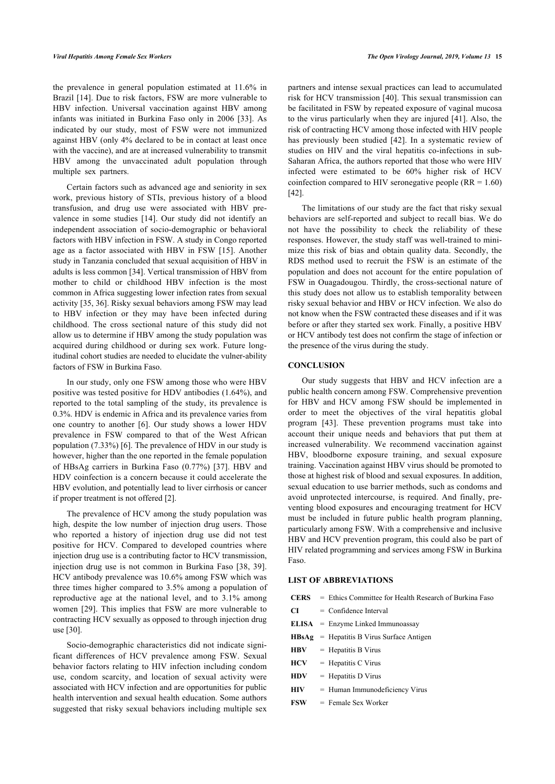the prevalence in general population estimated at 11.6% in Brazil [\[14\]](#page-7-12). Due to risk factors, FSW are more vulnerable to HBV infection. Universal vaccination against HBV among infants was initiated in Burkina Faso only in 2006[[33](#page-8-16)]. As indicated by our study, most of FSW were not immunized against HBV (only 4% declared to be in contact at least once with the vaccine), and are at increased vulnerability to transmit HBV among the unvaccinated adult population through multiple sex partners.

Certain factors such as advanced age and seniority in sex work, previous history of STIs, previous history of a blood transfusion, and drug use were associated with HBV prevalence in some studies[[14\]](#page-7-12). Our study did not identify an independent association of socio-demographic or behavioral factors with HBV infection in FSW. A study in Congo reported age as a factor associated with HBV in FSW[[15](#page-7-11)]. Another study in Tanzania concluded that sexual acquisition of HBV in adults is less common [[34\]](#page-8-0). Vertical transmission of HBV from mother to child or childhood HBV infection is the most common in Africa suggesting lower infection rates from sexual activity [\[35](#page-8-1), [36\]](#page-8-17). Risky sexual behaviors among FSW may lead to HBV infection or they may have been infected during childhood. The cross sectional nature of this study did not allow us to determine if HBV among the study population was acquired during childhood or during sex work. Future longitudinal cohort studies are needed to elucidate the vulner-ability factors of FSW in Burkina Faso.

In our study, only one FSW among those who were HBV positive was tested positive for HDV antibodies (1.64%), and reported to the total sampling of the study, its prevalence is 0.3%. HDV is endemic in Africa and its prevalence varies from one country to another [\[6\]](#page-7-5). Our study shows a lower HDV prevalence in FSW compared to that of the West African population (7.33%) [[6](#page-7-5)]. The prevalence of HDV in our study is however, higher than the one reported in the female population of HBsAg carriers in Burkina Faso (0.77%)[[37](#page-8-18)]. HBV and HDV coinfection is a concern because it could accelerate the HBV evolution, and potentially lead to liver cirrhosis or cancer if proper treatment is not offered [[2](#page-7-1)].

The prevalence of HCV among the study population was high, despite the low number of injection drug users. Those who reported a history of injection drug use did not test positive for HCV. Compared to developed countries where injection drug use is a contributing factor to HCV transmission, injection drug use is not common in Burkina Faso [[38,](#page-8-19) [39\]](#page-8-20). HCV antibody prevalence was 10.6% among FSW which was three times higher compared to 3.5% among a population of reproductive age at the national level, and to 3.1% among women [\[29\]](#page-8-12). This implies that FSW are more vulnerable to contracting HCV sexually as opposed to through injection drug use [[30\]](#page-8-13).

Socio-demographic characteristics did not indicate significant differences of HCV prevalence among FSW. Sexual behavior factors relating to HIV infection including condom use, condom scarcity, and location of sexual activity were associated with HCV infection and are opportunities for public health intervention and sexual health education. Some authors suggested that risky sexual behaviors including multiple sex partners and intense sexual practices can lead to accumulated risk for HCV transmission [[40\]](#page-8-21). This sexual transmission can be facilitated in FSW by repeated exposure of vaginal mucosa to the virus particularly when they are injured [\[41\]](#page-8-22). Also, the risk of contracting HCV among those infected with HIV people has previously been studied [\[42](#page-8-23)]. In a systematic review of studies on HIV and the viral hepatitis co-infections in sub-Saharan Africa, the authors reported that those who were HIV infected were estimated to be 60% higher risk of HCV coinfection compared to HIV seronegative people (RR = 1.60) [[42\]](#page-8-23).

The limitations of our study are the fact that risky sexual behaviors are self-reported and subject to recall bias. We do not have the possibility to check the reliability of these responses. However, the study staff was well-trained to minimize this risk of bias and obtain quality data. Secondly, the RDS method used to recruit the FSW is an estimate of the population and does not account for the entire population of FSW in Ouagadougou. Thirdly, the cross-sectional nature of this study does not allow us to establish temporality between risky sexual behavior and HBV or HCV infection. We also do not know when the FSW contracted these diseases and if it was before or after they started sex work. Finally, a positive HBV or HCV antibody test does not confirm the stage of infection or the presence of the virus during the study.

## **CONCLUSION**

Our study suggests that HBV and HCV infection are a public health concern among FSW. Comprehensive prevention for HBV and HCV among FSW should be implemented in order to meet the objectives of the viral hepatitis global program[[43\]](#page-8-24). These prevention programs must take into account their unique needs and behaviors that put them at increased vulnerability. We recommend vaccination against HBV, bloodborne exposure training, and sexual exposure training. Vaccination against HBV virus should be promoted to those at highest risk of blood and sexual exposures. In addition, sexual education to use barrier methods, such as condoms and avoid unprotected intercourse, is required. And finally, preventing blood exposures and encouraging treatment for HCV must be included in future public health program planning, particularly among FSW. With a comprehensive and inclusive HBV and HCV prevention program, this could also be part of HIV related programming and services among FSW in Burkina Faso.

# **LIST OF ABBREVIATIONS**

|    | <b>CERS</b> $=$ Ethics Committee for Health Research of Burkina Faso |
|----|----------------------------------------------------------------------|
| CТ | $=$ Confidence Interval                                              |
|    | $ELISA$ = Enzyme Linked Immunoassay                                  |

- **HBsAg** = Hepatitis B Virus Surface Antigen
- **HBV** = Hepatitis B Virus
- **HCV** = Hepatitis C Virus
- **HDV** = Hepatitis D Virus
- **HIV** = Human Immunodeficiency Virus
- **FSW** = Female Sex Worker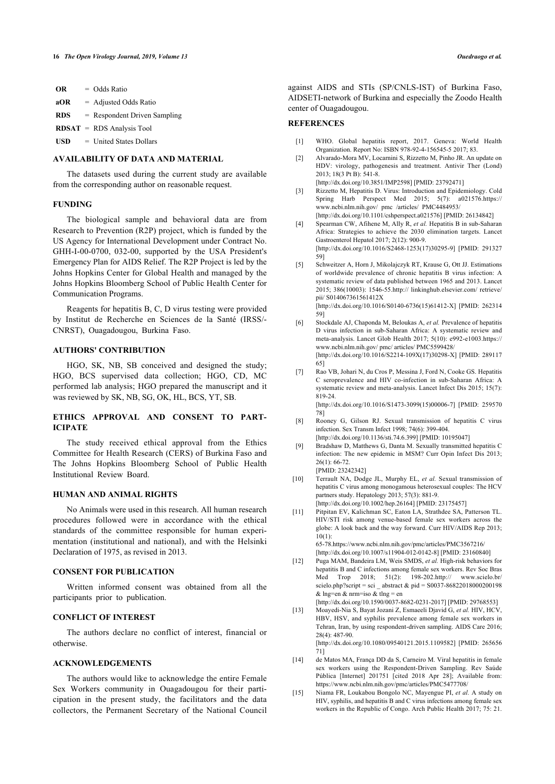| OR         | $=$ Odds Ratio                 |
|------------|--------------------------------|
| aOR        | $=$ Adjusted Odds Ratio        |
| <b>RDS</b> | $=$ Respondent Driven Sampling |
|            | $RDSAT = RDS$ Analysis Tool    |
| <b>USD</b> | $=$ United States Dollars      |

# <span id="page-7-1"></span><span id="page-7-0"></span>**AVAILABILITY OF DATA AND MATERIAL**

The datasets used during the current study are available from the corresponding author on reasonable request.

# <span id="page-7-2"></span>**FUNDING**

<span id="page-7-3"></span>The biological sample and behavioral data are from Research to Prevention (R2P) project, which is funded by the US Agency for International Development under Contract No. GHH-I-00-0700, 032-00, supported by the USA President's Emergency Plan for AIDS Relief. The R2P Project is led by the Johns Hopkins Center for Global Health and managed by the Johns Hopkins Bloomberg School of Public Health Center for Communication Programs.

<span id="page-7-5"></span><span id="page-7-4"></span>Reagents for hepatitis B, C, D virus testing were provided by Institut de Recherche en Sciences de la Santé (IRSS/- CNRST), Ouagadougou, Burkina Faso.

# **AUTHORS' CONTRIBUTION**

<span id="page-7-6"></span>HGO, SK, NB, SB conceived and designed the study; HGO, BCS supervised data collection; HGO, CD, MC performed lab analysis; HGO prepared the manuscript and it was reviewed by SK, NB, SG, OK, HL, BCS, YT, SB.

# <span id="page-7-7"></span>**ETHICS APPROVAL AND CONSENT TO PART-ICIPATE**

The study received ethical approval from the Ethics Committee for Health Research (CERS) of Burkina Faso and The Johns Hopkins Bloomberg School of Public Health Institutional Review Board.

# <span id="page-7-8"></span>**HUMAN AND ANIMAL RIGHTS**

<span id="page-7-9"></span>No Animals were used in this research. All human research procedures followed were in accordance with the ethical standards of the committee responsible for human experimentation (institutional and national), and with the Helsinki Declaration of 1975, as revised in 2013.

#### <span id="page-7-10"></span>**CONSENT FOR PUBLICATION**

Written informed consent was obtained from all the participants prior to publication.

## **CONFLICT OF INTEREST**

The authors declare no conflict of interest, financial or otherwise.

#### <span id="page-7-12"></span>**ACKNOWLEDGEMENTS**

<span id="page-7-11"></span>The authors would like to acknowledge the entire Female Sex Workers community in Ouagadougou for their participation in the present study, the facilitators and the data collectors, the Permanent Secretary of the National Council against AIDS and STIs (SP/CNLS-IST) of Burkina Faso, AIDSETI-network of Burkina and especially the Zoodo Health center of Ouagadougou.

# **REFERENCES**

- [1] WHO. Global hepatitis report, 2017. Geneva: World Health Organization. Report No: ISBN 978-92-4-156545-5 2017; 83.
- [2] Alvarado-Mora MV, Locarnini S, Rizzetto M, Pinho JR. An update on HDV: virology, pathogenesis and treatment. Antivir Ther (Lond) 2013; 18(3 Pt B): 541-8. [\[http://dx.doi.org/10.3851/IMP2598\]](http://dx.doi.org/10.3851/IMP2598) [PMID: [23792471\]](http://www.ncbi.nlm.nih.gov/pubmed/23792471)
- [3] Rizzetto M, Hepatitis D. Virus: Introduction and Epidemiology. Cold Spring Harb Perspect Med 2015; 5(7): a021576[.https://](https://www.ncbi.nlm.nih.gov/pmc/articles/PMC4484953/) [www.ncbi.nlm.nih.gov/ pmc /articles/ PMC4484953/](https://www.ncbi.nlm.nih.gov/pmc/articles/PMC4484953/)
- [\[http://dx.doi.org/10.1101/cshperspect.a021576\]](http://dx.doi.org/10.1101/cshperspect.a021576) [PMID: [26134842\]](http://www.ncbi.nlm.nih.gov/pubmed/26134842) [4] Spearman CW, Afihene M, Ally R, *et al.* Hepatitis B in sub-Saharan Africa: Strategies to achieve the 2030 elimination targets. Lancet Gastroenterol Hepatol 2017; 2(12): 900-9. [\[http://dx.doi.org/10.1016/S2468-1253\(17\)30295-9](http://dx.doi.org/10.1016/S2468-1253(17)30295-9)] [PMID: [291327](http://www.ncbi.nlm.nih.gov/pubmed/291327%2059) [59\]](http://www.ncbi.nlm.nih.gov/pubmed/291327%2059)
- [5] Schweitzer A, Horn J, Mikolajczyk RT, Krause G, Ott JJ. Estimations of worldwide prevalence of chronic hepatitis B virus infection: A systematic review of data published between 1965 and 2013. Lancet 2015; 386(10003): 1546-55[.http:// linkinghub.elsevier.com/ retrieve/](http://linkinghub.elsevier.com/retrieve/pii/S014067361561412X) [pii/ S014067361561412X](http://linkinghub.elsevier.com/retrieve/pii/S014067361561412X) [\[http://dx.doi.org/10.1016/S0140-6736\(15\)61412-X\]](http://dx.doi.org/10.1016/S0140-6736(15)61412-X) [PMID: [262314](http://www.ncbi.nlm.nih.gov/pubmed/262314%2059) [59\]](http://www.ncbi.nlm.nih.gov/pubmed/262314%2059)
- [6] Stockdale AJ, Chaponda M, Beloukas A, *et al.* Prevalence of hepatitis D virus infection in sub-Saharan Africa: A systematic review and meta-analysis. Lancet Glob Health 2017; 5(10): e992-e1003[.https://](https://www.ncbi.nlm.nih.gov/pmc/articles/PMC5599428/) [www.ncbi.nlm.nih.gov/ pmc/ articles/ PMC5599428/](https://www.ncbi.nlm.nih.gov/pmc/articles/PMC5599428/) [\[http://dx.doi.org/10.1016/S2214-109X\(17\)30298-X\]](http://dx.doi.org/10.1016/S2214-109X(17)30298-X) [PMID: [289117](http://www.ncbi.nlm.nih.gov/pubmed/289117%2065) [65\]](http://www.ncbi.nlm.nih.gov/pubmed/289117%2065)
- [7] Rao VB, Johari N, du Cros P, Messina J, Ford N, Cooke GS. Hepatitis C seroprevalence and HIV co-infection in sub-Saharan Africa: A systematic review and meta-analysis. Lancet Infect Dis 2015; 15(7): 819-24. [\[http://dx.doi.org/10.1016/S1473-3099\(15\)00006-7](http://dx.doi.org/10.1016/S1473-3099(15)00006-7)] [PMID: [259570](http://www.ncbi.nlm.nih.gov/pubmed/259570%2078)

[78\]](http://www.ncbi.nlm.nih.gov/pubmed/259570%2078)

- [8] Rooney G, Gilson RJ. Sexual transmission of hepatitis C virus infection. Sex Transm Infect 1998; 74(6): 399-404. [\[http://dx.doi.org/10.1136/sti.74.6.399](http://dx.doi.org/10.1136/sti.74.6.399)] [PMID: [10195047\]](http://www.ncbi.nlm.nih.gov/pubmed/10195047)
- [9] Bradshaw D, Matthews G, Danta M. Sexually transmitted hepatitis C infection: The new epidemic in MSM? Curr Opin Infect Dis 2013; 26(1): 66-72. [PMID: [23242342\]](http://www.ncbi.nlm.nih.gov/pubmed/23242342)

[10] Terrault NA, Dodge JL, Murphy EL, *et al.* Sexual transmission of hepatitis C virus among monogamous heterosexual couples: The HCV partners study. Hepatology 2013; 57(3): 881-9. [\[http://dx.doi.org/10.1002/hep.26164\]](http://dx.doi.org/10.1002/hep.26164) [PMID: [23175457](http://www.ncbi.nlm.nih.gov/pubmed/23175457)]

[11] Pitpitan EV, Kalichman SC, Eaton LA, Strathdee SA, Patterson TL. HIV/STI risk among venue-based female sex workers across the globe: A look back and the way forward. Curr HIV/AIDS Rep 2013;  $10(1)$ : 65-78[.https://www.ncbi.nlm.nih.gov/pmc/articles/PMC3567216/](https://www.ncbi.nlm.nih.gov/pmc/articles/PMC3567216/)

[\[http://dx.doi.org/10.1007/s11904-012-0142-8\]](http://dx.doi.org/10.1007/s11904-012-0142-8) [PMID: [23160840](http://www.ncbi.nlm.nih.gov/pubmed/23160840)]

[12] Puga MAM, Bandeira LM, Weis SMDS, *et al.* High-risk behaviors for hepatitis B and C infections among female sex workers. Rev Soc Bras Med Trop 2018; 51(2): 198-202.[http:// www.scielo.br/](http://www.scielo.br/scielo.php?script=sci_abstract&pid=S0037-86822018000200198&lng=en&nrm=iso&tlng=en) scielo.php?script = sci abstract & pid =  $S0037-86822018000200198$ [& lng=en & nrm=iso & tlng = en](http://www.scielo.br/scielo.php?script=sci_abstract&pid=S0037-86822018000200198&lng=en&nrm=iso&tlng=en)

[\[http://dx.doi.org/10.1590/0037-8682-0231-2017](http://dx.doi.org/10.1590/0037-8682-0231-2017)] [PMID: [29768553](http://www.ncbi.nlm.nih.gov/pubmed/29768553)] [13] Moayedi-Nia S, Bayat Jozani Z, Esmaeeli Djavid G, *et al.* HIV, HCV, HBV, HSV, and syphilis prevalence among female sex workers in Tehran, Iran, by using respondent-driven sampling. AIDS Care 2016; 28(4): 487-90. [\[http://dx.doi.org/10.1080/09540121.2015.1109582\]](http://dx.doi.org/10.1080/09540121.2015.1109582) [PMID: [265656](http://www.ncbi.nlm.nih.gov/pubmed/265656%2071) [71\]](http://www.ncbi.nlm.nih.gov/pubmed/265656%2071)

- [14] de Matos MA, França DD da S, Carneiro M. Viral hepatitis in female sex workers using the Respondent-Driven Sampling. Rev Saúde Pública [Internet] 201751 [cited 2018 Apr 28]; Available from: <https://www.ncbi.nlm.nih.gov/pmc/articles/PMC5477708/>
- [15] Niama FR, Loukabou Bongolo NC, Mayengue PI, *et al.* A study on HIV, syphilis, and hepatitis B and C virus infections among female sex workers in the Republic of Congo. Arch Public Health 2017; 75: 21.